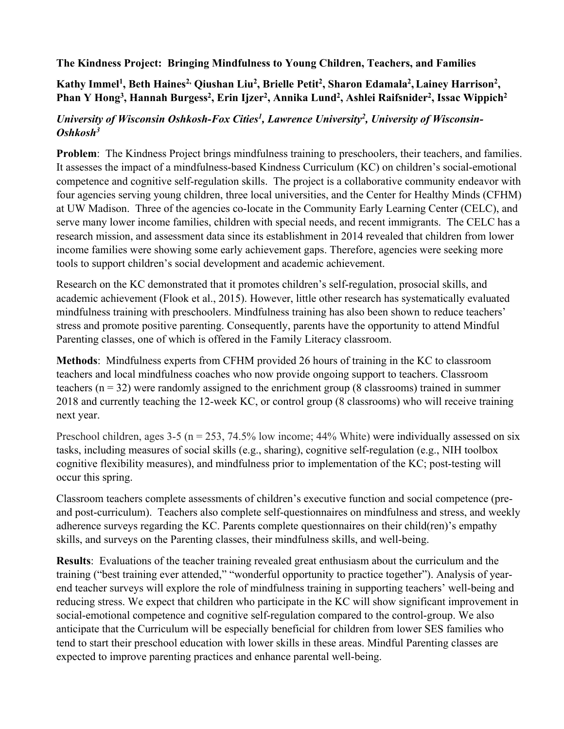## **The Kindness Project: Bringing Mindfulness to Young Children, Teachers, and Families**

## Kathy Immel<sup>1</sup>, Beth Haines<sup>2,</sup> Qiushan Liu<sup>2</sup>, Brielle Petit<sup>2</sup>, Sharon Edamala<sup>2</sup>, Lainey Harrison<sup>2</sup>, Phan Y Hong<sup>3</sup>, Hannah Burgess<sup>2</sup>, Erin Ijzer<sup>2</sup>, Annika Lund<sup>2</sup>, Ashlei Raifsnider<sup>2</sup>, Issac Wippich<sup>2</sup>

## University of Wisconsin Oshkosh-Fox Cities<sup>1</sup>, Lawrence University<sup>2</sup>, University of Wisconsin-*Oshkosh3*

**Problem:** The Kindness Project brings mindfulness training to preschoolers, their teachers, and families. It assesses the impact of a mindfulness-based Kindness Curriculum (KC) on children's social-emotional competence and cognitive self-regulation skills. The project is a collaborative community endeavor with four agencies serving young children, three local universities, and the Center for Healthy Minds (CFHM) at UW Madison. Three of the agencies co-locate in the Community Early Learning Center (CELC), and serve many lower income families, children with special needs, and recent immigrants. The CELC has a research mission, and assessment data since its establishment in 2014 revealed that children from lower income families were showing some early achievement gaps. Therefore, agencies were seeking more tools to support children's social development and academic achievement.

Research on the KC demonstrated that it promotes children's self-regulation, prosocial skills, and academic achievement (Flook et al., 2015). However, little other research has systematically evaluated mindfulness training with preschoolers. Mindfulness training has also been shown to reduce teachers' stress and promote positive parenting. Consequently, parents have the opportunity to attend Mindful Parenting classes, one of which is offered in the Family Literacy classroom.

**Methods**: Mindfulness experts from CFHM provided 26 hours of training in the KC to classroom teachers and local mindfulness coaches who now provide ongoing support to teachers. Classroom teachers (n = 32) were randomly assigned to the enrichment group (8 classrooms) trained in summer 2018 and currently teaching the 12-week KC, or control group (8 classrooms) who will receive training next year.

Preschool children, ages  $3-5$  (n = 253, 74.5% low income; 44% White) were individually assessed on six tasks, including measures of social skills (e.g., sharing), cognitive self-regulation (e.g., NIH toolbox cognitive flexibility measures), and mindfulness prior to implementation of the KC; post-testing will occur this spring.

Classroom teachers complete assessments of children's executive function and social competence (preand post-curriculum). Teachers also complete self-questionnaires on mindfulness and stress, and weekly adherence surveys regarding the KC. Parents complete questionnaires on their child(ren)'s empathy skills, and surveys on the Parenting classes, their mindfulness skills, and well-being.

**Results**: Evaluations of the teacher training revealed great enthusiasm about the curriculum and the training ("best training ever attended," "wonderful opportunity to practice together"). Analysis of yearend teacher surveys will explore the role of mindfulness training in supporting teachers' well-being and reducing stress. We expect that children who participate in the KC will show significant improvement in social-emotional competence and cognitive self-regulation compared to the control-group. We also anticipate that the Curriculum will be especially beneficial for children from lower SES families who tend to start their preschool education with lower skills in these areas. Mindful Parenting classes are expected to improve parenting practices and enhance parental well-being.